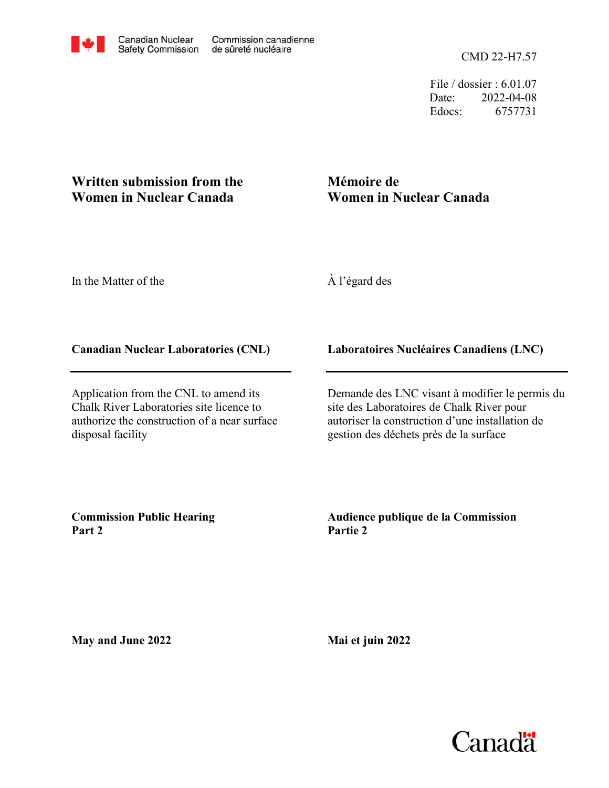File / dossier : 6.01.07 Date: 2022-04-08 Edocs: 6757731

# **Written submission from the Women in Nuclear Canada**

# **Mémoire de Women in Nuclear Canada**

In the Matter of the

À l'égard des

## **Canadian Nuclear Laboratories (CNL)**

Application from the CNL to amend its Chalk River Laboratories site licence to authorize the construction of a near surface disposal facility

### **Laboratoires Nucléaires Canadiens (LNC)**

Demande des LNC visant à modifier le permis du site des Laboratoires de Chalk River pour autoriser la construction d'une installation de gestion des déchets près de la surface

**Commission Public Hearing Part 2**

### **Audience publique de la Commission Partie 2**

**May and June 2022**

**Mai et juin 2022**

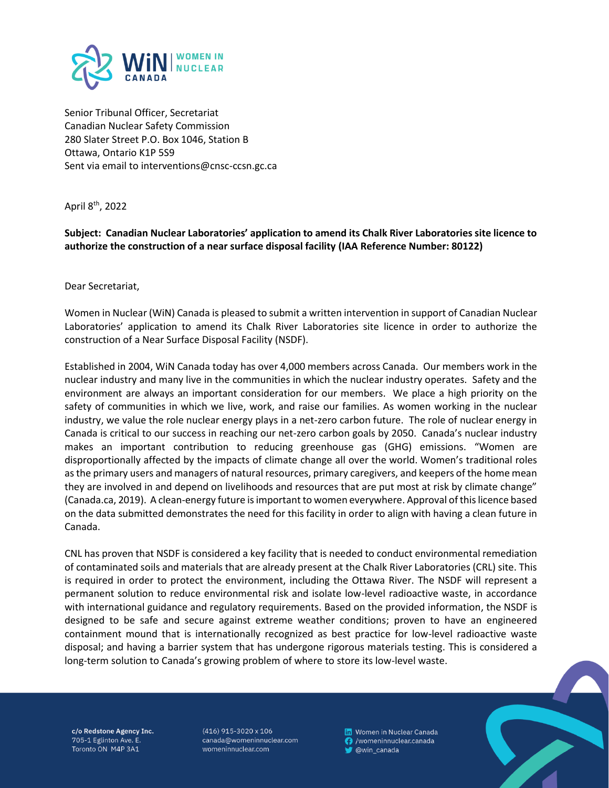

Senior Tribunal Officer, Secretariat Canadian Nuclear Safety Commission 280 Slater Street P.O. Box 1046, Station B Ottawa, Ontario K1P 5S9 Sent via email to interventions@cnsc-ccsn.gc.ca

April 8th, 2022

**Subject: Canadian Nuclear Laboratories' application to amend its Chalk River Laboratories site licence to authorize the construction of a near surface disposal facility (IAA Reference Number: 80122)**

Dear Secretariat,

Women in Nuclear (WiN) Canada is pleased to submit a written intervention in support of Canadian Nuclear Laboratories' application to amend its Chalk River Laboratories site licence in order to authorize the construction of a Near Surface Disposal Facility (NSDF).

Established in 2004, WiN Canada today has over 4,000 members across Canada. Our members work in the nuclear industry and many live in the communities in which the nuclear industry operates. Safety and the environment are always an important consideration for our members. We place a high priority on the safety of communities in which we live, work, and raise our families. As women working in the nuclear industry, we value the role nuclear energy plays in a net-zero carbon future. The role of nuclear energy in Canada is critical to our success in reaching our net-zero carbon goals by 2050. Canada's nuclear industry makes an important contribution to reducing greenhouse gas (GHG) emissions. "Women are disproportionally affected by the impacts of climate change all over the world. Women's traditional roles as the primary users and managers of natural resources, primary caregivers, and keepers of the home mean they are involved in and depend on livelihoods and resources that are put most at risk by climate change" (Canada.ca, 2019). A clean-energy future is important to women everywhere. Approval of this licence based on the data submitted demonstrates the need for this facility in order to align with having a clean future in Canada.

CNL has proven that NSDF is considered a key facility that is needed to conduct environmental remediation of contaminated soils and materials that are already present at the Chalk River Laboratories (CRL) site. This is required in order to protect the environment, including the Ottawa River. The NSDF will represent a permanent solution to reduce environmental risk and isolate low-level radioactive waste, in accordance with international guidance and regulatory requirements. Based on the provided information, the NSDF is designed to be safe and secure against extreme weather conditions; proven to have an engineered containment mound that is internationally recognized as best practice for low-level radioactive waste disposal; and having a barrier system that has undergone rigorous materials testing. This is considered a long-term solution to Canada's growing problem of where to store its low-level waste.

c/o Redstone Agency Inc. 705-1 Eglinton Ave. E. Toronto ON M4P 3A1

 $(416)$  915-3020 x 106 canada@womeninnuclear.com womeninnuclear.com

in Women in Nuclear Canada **6** /womeninnuclear.canada @win\_canada